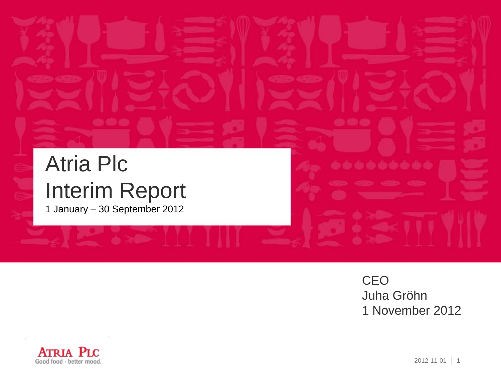# Atria Plc Interim Report

1 January – 30 September 2012

**CEO** Juha Gröhn 1 November 2012

--------

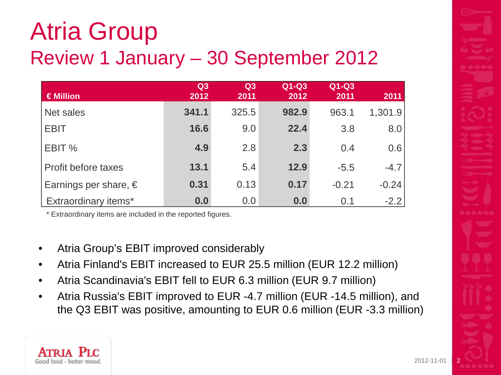# Atria Group Review 1 January – 30 September 2012

| $\in$ Million             | Q3<br>2012 | Q <sub>3</sub><br>2011 | $Q1-Q3$<br>2012 | $Q1-Q3$<br>2011 | 2011    |
|---------------------------|------------|------------------------|-----------------|-----------------|---------|
| Net sales                 | 341.1      | 325.5                  | 982.9           | 963.1           | 1,301.9 |
| <b>EBIT</b>               | 16.6       | 9.0                    | 22.4            | 3.8             | 8.0     |
| EBIT %                    | 4.9        | 2.8                    | 2.3             | 0.4             | 0.6     |
| Profit before taxes       | 13.1       | 5.4                    | 12.9            | $-5.5$          | $-4.7$  |
| Earnings per share, $\in$ | 0.31       | 0.13                   | 0.17            | $-0.21$         | $-0.24$ |
| Extraordinary items*      | 0.0        | 0.0                    | 0.0             | 0.1             | $-2.2$  |

\* Extraordinary items are included in the reported figures.

- Atria Group's EBIT improved considerably
- Atria Finland's EBIT increased to EUR 25.5 million (EUR 12.2 million)
- Atria Scandinavia's EBIT fell to EUR 6.3 million (EUR 9.7 million)
- Atria Russia's EBIT improved to EUR -4.7 million (EUR -14.5 million), and the Q3 EBIT was positive, amounting to EUR 0.6 million (EUR -3.3 million)



 $2012 - 11 - 0$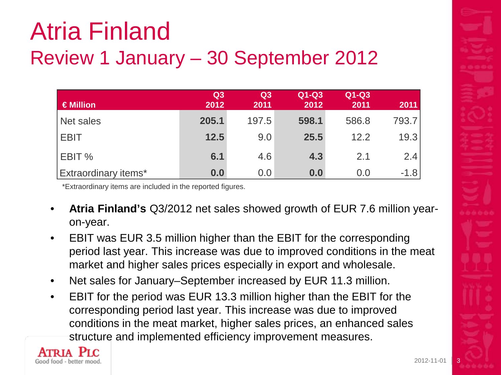# Atria Finland Review 1 January – 30 September 2012

| $\in$ Million               | Q3<br>2012 | Q3<br>2011 | $Q1-Q3$<br>2012 | $Q1-Q3$<br>2011 | 2011   |
|-----------------------------|------------|------------|-----------------|-----------------|--------|
| Net sales                   | 205.1      | 197.5      | 598.1           | 586.8           | 793.7  |
| <b>EBIT</b>                 | 12.5       | 9.0        | 25.5            | 12.2            | 19.3   |
| EBIT %                      | 6.1        | 4.6        | 4.3             | 2.1             | 2.4    |
| <b>Extraordinary items*</b> | 0.0        | 0.0        | 0.0             | 0.0             | $-1.8$ |

\*Extraordinary items are included in the reported figures.

- **Atria Finland's** Q3/2012 net sales showed growth of EUR 7.6 million yearon-year.
- EBIT was EUR 3.5 million higher than the EBIT for the corresponding period last year. This increase was due to improved conditions in the meat market and higher sales prices especially in export and wholesale.
- Net sales for January–September increased by EUR 11.3 million.
- EBIT for the period was EUR 13.3 million higher than the EBIT for the corresponding period last year. This increase was due to improved conditions in the meat market, higher sales prices, an enhanced sales structure and implemented efficiency improvement measures.

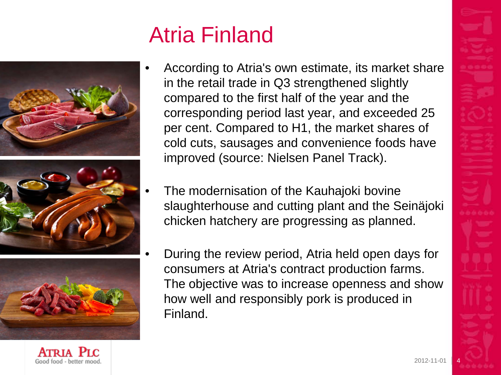# Atria Finland







• According to Atria's own estimate, its market share in the retail trade in Q3 strengthened slightly compared to the first half of the year and the corresponding period last year, and exceeded 25 per cent. Compared to H1, the market shares of cold cuts, sausages and convenience foods have improved (source: Nielsen Panel Track).

- The modernisation of the Kauhajoki bovine slaughterhouse and cutting plant and the Seinäjoki chicken hatchery are progressing as planned.
- During the review period, Atria held open days for consumers at Atria's contract production farms. The objective was to increase openness and show how well and responsibly pork is produced in Finland.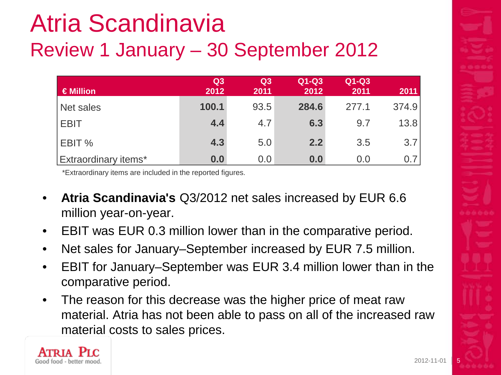# Atria Scandinavia Review 1 January – 30 September 2012

| $\in$ Million               | Q <sub>3</sub><br>2012 | Q <sub>3</sub><br>2011 | $Q1-Q3$<br>2012 | $Q1-Q3$<br>2011 | 2011  |
|-----------------------------|------------------------|------------------------|-----------------|-----------------|-------|
| Net sales                   | 100.1                  | 93.5                   | 284.6           | 277.1           | 374.9 |
| <b>EBIT</b>                 | 4.4                    | 4.7                    | 6.3             | 9.7             | 13.8  |
| EBIT %                      | 4.3                    | 5.0                    | 2.2             | 3.5             | 3.7   |
| <b>Extraordinary items*</b> | 0.0                    | 0.0                    | 0.0             | 0.0             | 0.7   |

\*Extraordinary items are included in the reported figures.

- **Atria Scandinavia's** Q3/2012 net sales increased by EUR 6.6 million year-on-year.
- EBIT was EUR 0.3 million lower than in the comparative period.
- Net sales for January–September increased by EUR 7.5 million.
- EBIT for January–September was EUR 3.4 million lower than in the comparative period.
- The reason for this decrease was the higher price of meat raw material. Atria has not been able to pass on all of the increased raw material costs to sales prices.

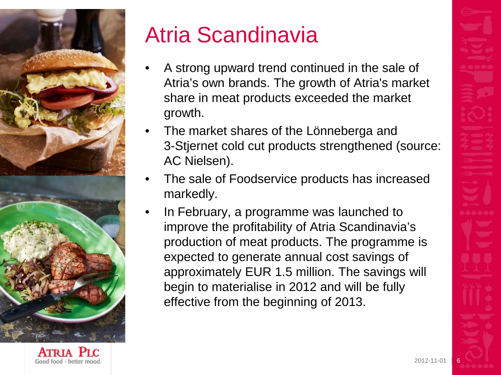

# Atria Scandinavia

- A strong upward trend continued in the sale of Atria's own brands. The growth of Atria's market share in meat products exceeded the market growth.
- The market shares of the Lönneberga and 3-Stjernet cold cut products strengthened (source: AC Nielsen).
- The sale of Foodservice products has increased markedly.
- In February, a programme was launched to improve the profitability of Atria Scandinavia's production of meat products. The programme is expected to generate annual cost savings of approximately EUR 1.5 million. The savings will begin to materialise in 2012 and will be fully effective from the beginning of 2013.

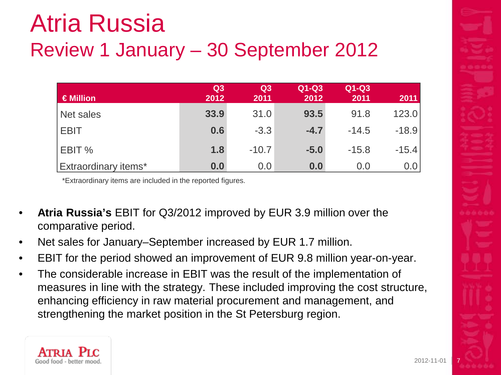# Atria Russia Review 1 January – 30 September 2012

| $\in$ Million        | Q <sub>3</sub><br>2012 | Q3<br>2011 | $Q1-Q3$<br>2012 | $Q1-Q3$<br>2011 | 2011    |
|----------------------|------------------------|------------|-----------------|-----------------|---------|
| Net sales            | 33.9                   | 31.0       | 93.5            | 91.8            | 123.0   |
| <b>EBIT</b>          | 0.6                    | $-3.3$     | $-4.7$          | $-14.5$         | $-18.9$ |
| EBIT %               | 1.8                    | $-10.7$    | $-5.0$          | $-15.8$         | $-15.4$ |
| Extraordinary items* | 0.0                    | 0.0        | 0.0             | 0.0             | 0.0     |

\*Extraordinary items are included in the reported figures.

- **Atria Russia's** EBIT for Q3/2012 improved by EUR 3.9 million over the comparative period.
- Net sales for January–September increased by EUR 1.7 million.
- EBIT for the period showed an improvement of EUR 9.8 million year-on-year.
- The considerable increase in EBIT was the result of the implementation of measures in line with the strategy. These included improving the cost structure, enhancing efficiency in raw material procurement and management, and strengthening the market position in the St Petersburg region.

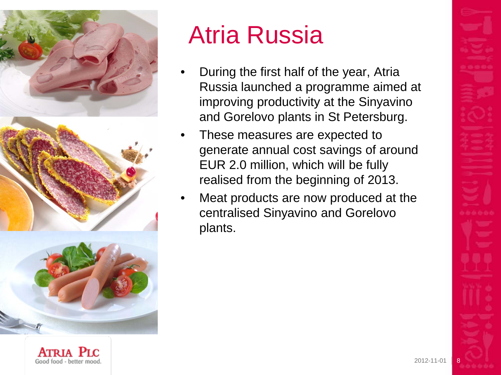

Good food - better mood

# Atria Russia

- During the first half of the year, Atria Russia launched a programme aimed at improving productivity at the Sinyavino and Gorelovo plants in St Petersburg.
- These measures are expected to generate annual cost savings of around EUR 2.0 million, which will be fully realised from the beginning of 2013.
- Meat products are now produced at the centralised Sinyavino and Gorelovo plants.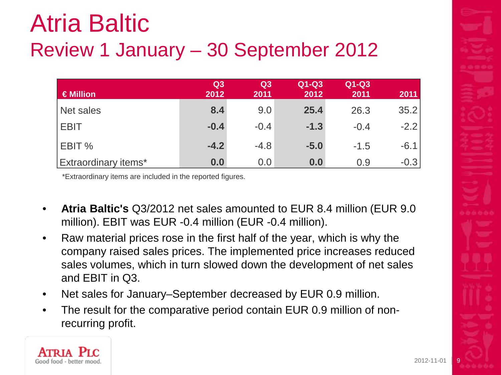# Atria Baltic Review 1 January – 30 September 2012

| €Million                    | Q <sub>3</sub><br>2012 | Q3<br>2011 | Q1-Q3<br>2012 | $Q1-Q3$<br>2011 | 2011   |
|-----------------------------|------------------------|------------|---------------|-----------------|--------|
| Net sales                   | 8.4                    | 9.0        | 25.4          | 26.3            | 35.2   |
| <b>EBIT</b>                 | $-0.4$                 | $-0.4$     | $-1.3$        | $-0.4$          | $-2.2$ |
| EBIT %                      | $-4.2$                 | $-4.8$     | $-5.0$        | $-1.5$          | $-6.1$ |
| <b>Extraordinary items*</b> | 0.0                    | 0.0        | 0.0           | 0.9             | $-0.3$ |

\*Extraordinary items are included in the reported figures.

- **Atria Baltic's** Q3/2012 net sales amounted to EUR 8.4 million (EUR 9.0 million). EBIT was EUR -0.4 million (EUR -0.4 million).
- Raw material prices rose in the first half of the year, which is why the company raised sales prices. The implemented price increases reduced sales volumes, which in turn slowed down the development of net sales and EBIT in Q3.
- Net sales for January–September decreased by EUR 0.9 million.
- The result for the comparative period contain EUR 0.9 million of nonrecurring profit.

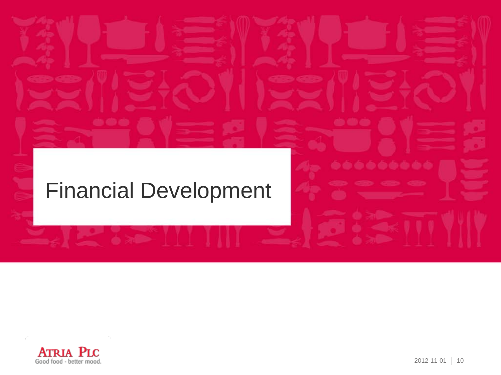#### Financial Development



ه ه ه ه ه ه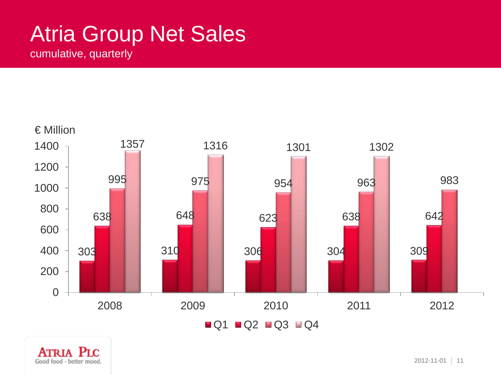### Atria Group Net Sales

cumulative, quarterly



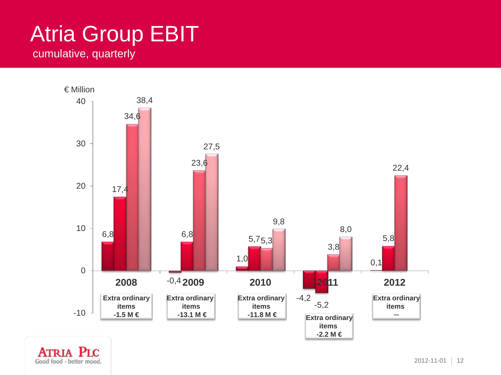#### Atria Group EBIT cumulative, quarterly



Good food - better mood.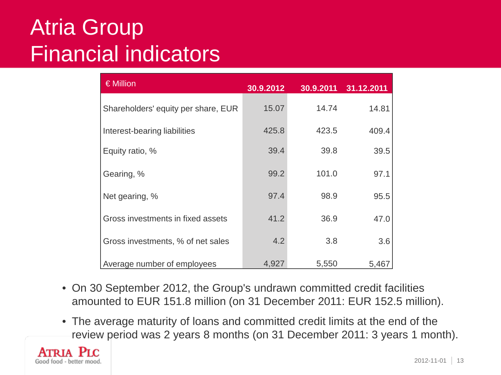#### Atria Group Financial indicators

| $\in$ Million                       | 30.9.2012 | 30.9.2011 | 31.12.2011 |
|-------------------------------------|-----------|-----------|------------|
| Shareholders' equity per share, EUR | 15.07     | 14.74     | 14.81      |
| Interest-bearing liabilities        | 425.8     | 423.5     | 409.4      |
| Equity ratio, %                     | 39.4      | 39.8      | 39.5       |
| Gearing, %                          | 99.2      | 101.0     | 97.1       |
| Net gearing, %                      | 97.4      | 98.9      | 95.5       |
| Gross investments in fixed assets   | 41.2      | 36.9      | 47.0       |
| Gross investments, % of net sales   | 4.2       | 3.8       | 3.6        |
| Average number of employees         | 4,927     | 5,550     | 5,467      |

- On 30 September 2012, the Group's undrawn committed credit facilities amounted to EUR 151.8 million (on 31 December 2011: EUR 152.5 million).
- The average maturity of loans and committed credit limits at the end of the review period was 2 years 8 months (on 31 December 2011: 3 years 1 month).

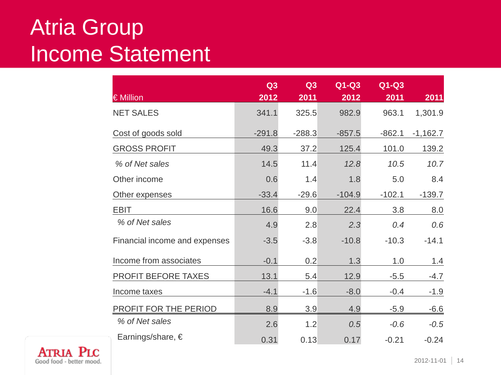#### Atria Group Income Statement

| € Million                     | Q3       | Q <sub>3</sub> | $Q1-Q3$  | Q1-Q3    |            |
|-------------------------------|----------|----------------|----------|----------|------------|
|                               | 2012     | 2011           | 2012     | 2011     | 2011       |
| <b>NET SALES</b>              | 341.1    | 325.5          | 982.9    | 963.1    | 1,301.9    |
| Cost of goods sold            | $-291.8$ | $-288.3$       | $-857.5$ | $-862.1$ | $-1,162.7$ |
| <b>GROSS PROFIT</b>           | 49.3     | 37.2           | 125.4    | 101.0    | 139.2      |
| % of Net sales                | 14.5     | 11.4           | 12.8     | 10.5     | 10.7       |
| Other income                  | 0.6      | 1.4            | 1.8      | 5.0      | 8.4        |
| Other expenses                | $-33.4$  | $-29.6$        | $-104.9$ | $-102.1$ | $-139.7$   |
| <b>EBIT</b>                   | 16.6     | 9.0            | 22.4     | 3.8      | 8.0        |
| % of Net sales                | 4.9      | 2.8            | 2.3      | 0.4      | 0.6        |
| Financial income and expenses | $-3.5$   | $-3.8$         | $-10.8$  | $-10.3$  | $-14.1$    |
| Income from associates        | $-0.1$   | 0.2            | 1.3      | 1.0      | 1.4        |
| <b>PROFIT BEFORE TAXES</b>    | 13.1     | 5.4            | 12.9     | $-5.5$   | $-4.7$     |
| Income taxes                  | $-4.1$   | $-1.6$         | $-8.0$   | $-0.4$   | $-1.9$     |
| PROFIT FOR THE PERIOD         | 8.9      | 3.9            | 4.9      | $-5.9$   | $-6.6$     |
| % of Net sales                | 2.6      | 1.2            | 0.5      | $-0.6$   | $-0.5$     |
| Earnings/share, $\epsilon$    | 0.31     | 0.13           | 0.17     | $-0.21$  | $-0.24$    |

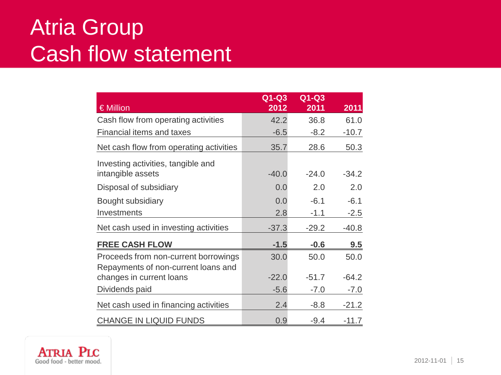#### Atria Group Cash flow statement

|                                         | $Q1-Q3$ | $Q1-Q3$ |         |
|-----------------------------------------|---------|---------|---------|
| $\in$ Million                           | 2012    | 2011    | 2011    |
| Cash flow from operating activities     | 42.2    | 36.8    | 61.0    |
| <b>Financial items and taxes</b>        | $-6.5$  | $-8.2$  | $-10.7$ |
| Net cash flow from operating activities | 35.7    | 28.6    | 50.3    |
| Investing activities, tangible and      |         |         |         |
| intangible assets                       | $-40.0$ | $-24.0$ | $-34.2$ |
| Disposal of subsidiary                  | 0.0     | 2.0     | 2.0     |
| Bought subsidiary                       | 0.0     | $-6.1$  | $-6.1$  |
| Investments                             | 2.8     | $-1.1$  | $-2.5$  |
| Net cash used in investing activities   | $-37.3$ | $-29.2$ | $-40.8$ |
| <b>FREE CASH FLOW</b>                   | $-1.5$  | $-0.6$  | 9.5     |
| Proceeds from non-current borrowings    | 30.0    | 50.0    | 50.0    |
| Repayments of non-current loans and     |         |         |         |
| changes in current loans                | $-22.0$ | $-51.7$ | $-64.2$ |
| Dividends paid                          | $-5.6$  | $-7.0$  | $-7.0$  |
| Net cash used in financing activities   | 2.4     | $-8.8$  | $-21.2$ |
| <b>CHANGE IN LIQUID FUNDS</b>           | 0.9     | $-9.4$  | $-11.7$ |

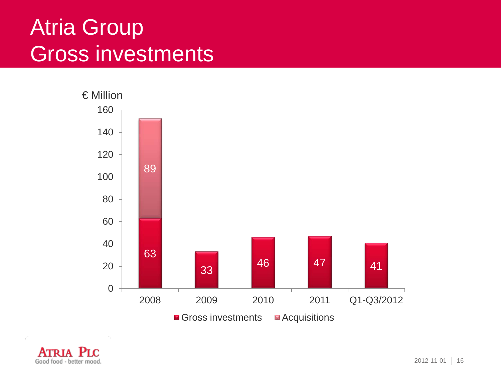#### Atria Group Gross investments



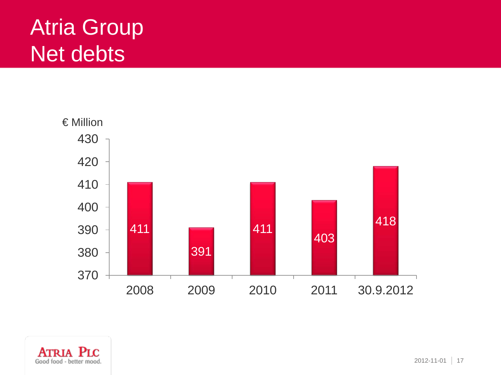### Atria Group Net debts



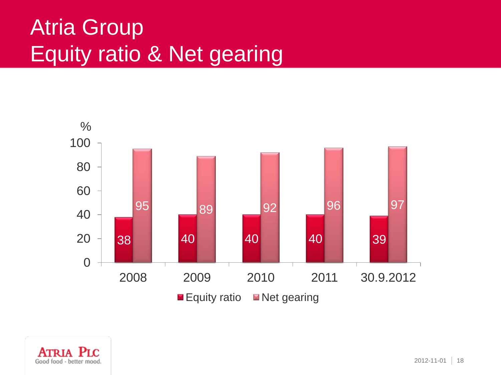## Atria Group Equity ratio & Net gearing



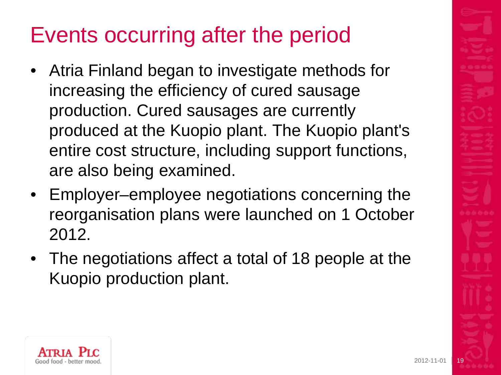# Events occurring after the period

- Atria Finland began to investigate methods for increasing the efficiency of cured sausage production. Cured sausages are currently produced at the Kuopio plant. The Kuopio plant's entire cost structure, including support functions, are also being examined.
- Employer–employee negotiations concerning the reorganisation plans were launched on 1 October 2012.
- The negotiations affect a total of 18 people at the Kuopio production plant.

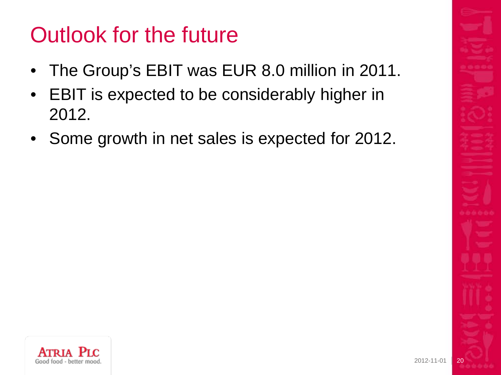### Outlook for the future

- The Group's EBIT was EUR 8.0 million in 2011.
- EBIT is expected to be considerably higher in 2012.
- Some growth in net sales is expected for 2012.

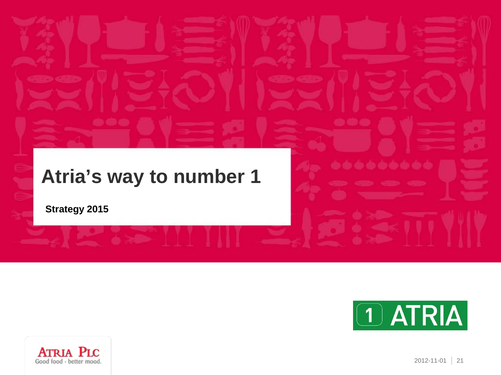#### **Atria's way to number 1**

**Strategy 2015**



6666666



2012-11-01 21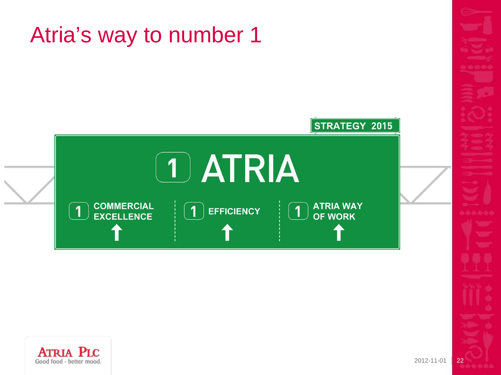



**ATRIA PLC** Good food - better mood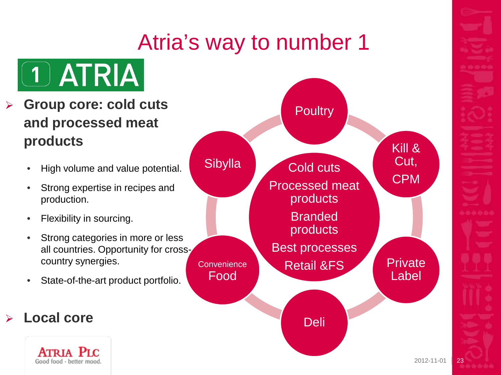#### Atria's way to number 1



- **Group core: cold cuts and processed meat products**
	- High volume and value potential.
	- Strong expertise in recipes and production.
	- Flexibility in sourcing.
	- Strong categories in more or less all countries. Opportunity for crosscountry synergies.
	- State-of-the-art product portfolio.

#### **Local core**

**ATRIA** Good food - better mood

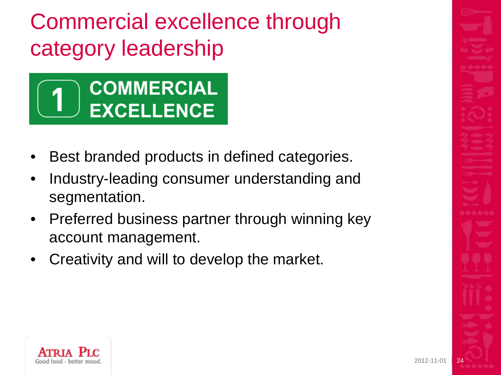Commercial excellence through category leadership



- Best branded products in defined categories.
- Industry-leading consumer understanding and segmentation.
- Preferred business partner through winning key account management.
- Creativity and will to develop the market.

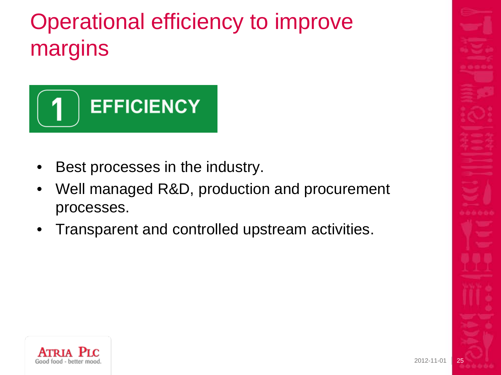# Operational efficiency to improve margins



- Best processes in the industry.
- Well managed R&D, production and procurement processes.
- Transparent and controlled upstream activities.

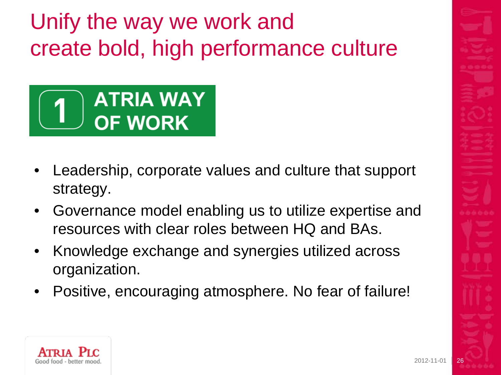Unify the way we work and create bold, high performance culture



- Leadership, corporate values and culture that support strategy.
- Governance model enabling us to utilize expertise and resources with clear roles between HQ and BAs.
- Knowledge exchange and synergies utilized across organization.
- Positive, encouraging atmosphere. No fear of failure!